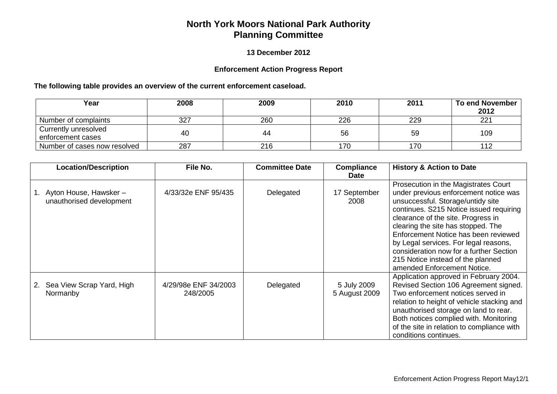## **North York Moors National Park Authority Planning Committee**

## **13 December 2012**

## **Enforcement Action Progress Report**

## **The following table provides an overview of the current enforcement caseload.**

| Year                         | 2008 | 2009 | 2010 | 2011 | <b>To end November</b> |
|------------------------------|------|------|------|------|------------------------|
|                              |      |      |      |      | 2012                   |
| Number of complaints         | 327  | 260  | 226  | 229  | 221                    |
| Currently unresolved         | 40   | 44   | 56   | 59   | 109                    |
| enforcement cases            |      |      |      |      |                        |
| Number of cases now resolved | 287  | 216  | 170  | 170  |                        |

| Location/Description                               | File No.                         | <b>Committee Date</b> | <b>Compliance</b><br><b>Date</b> | <b>History &amp; Action to Date</b>                                                                                                                                                                                                                                                                                                                                                                                                       |
|----------------------------------------------------|----------------------------------|-----------------------|----------------------------------|-------------------------------------------------------------------------------------------------------------------------------------------------------------------------------------------------------------------------------------------------------------------------------------------------------------------------------------------------------------------------------------------------------------------------------------------|
| Ayton House, Hawsker -<br>unauthorised development | 4/33/32e ENF 95/435              | Delegated             | 17 September<br>2008             | Prosecution in the Magistrates Court<br>under previous enforcement notice was<br>unsuccessful. Storage/untidy site<br>continues. S215 Notice issued requiring<br>clearance of the site. Progress in<br>clearing the site has stopped. The<br>Enforcement Notice has been reviewed<br>by Legal services. For legal reasons,<br>consideration now for a further Section<br>215 Notice instead of the planned<br>amended Enforcement Notice. |
| 2. Sea View Scrap Yard, High<br>Normanby           | 4/29/98e ENF 34/2003<br>248/2005 | Delegated             | 5 July 2009<br>5 August 2009     | Application approved in February 2004.<br>Revised Section 106 Agreement signed.<br>Two enforcement notices served in<br>relation to height of vehicle stacking and<br>unauthorised storage on land to rear.<br>Both notices complied with. Monitoring<br>of the site in relation to compliance with<br>conditions continues.                                                                                                              |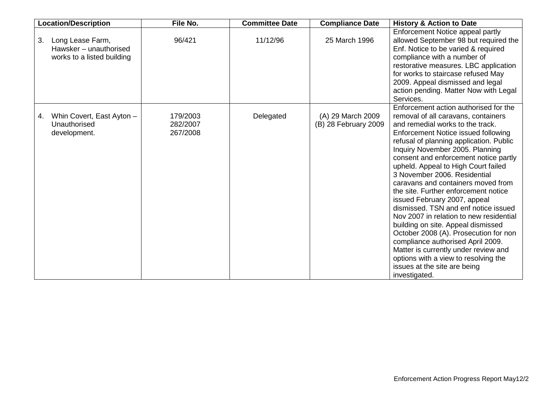| <b>Location/Description</b>                                                    | File No.                         | <b>Committee Date</b> | <b>Compliance Date</b>                    | <b>History &amp; Action to Date</b>                                                                                                                                                                                                                                                                                                                                                                                                                                                                                                                                                                                                                                                                                                                                                                         |
|--------------------------------------------------------------------------------|----------------------------------|-----------------------|-------------------------------------------|-------------------------------------------------------------------------------------------------------------------------------------------------------------------------------------------------------------------------------------------------------------------------------------------------------------------------------------------------------------------------------------------------------------------------------------------------------------------------------------------------------------------------------------------------------------------------------------------------------------------------------------------------------------------------------------------------------------------------------------------------------------------------------------------------------------|
| Long Lease Farm,<br>3.<br>Hawsker - unauthorised<br>works to a listed building | 96/421                           | 11/12/96              | 25 March 1996                             | Enforcement Notice appeal partly<br>allowed September 98 but required the<br>Enf. Notice to be varied & required<br>compliance with a number of<br>restorative measures. LBC application<br>for works to staircase refused May<br>2009. Appeal dismissed and legal<br>action pending. Matter Now with Legal<br>Services.                                                                                                                                                                                                                                                                                                                                                                                                                                                                                    |
| Whin Covert, East Ayton -<br>4.<br>Unauthorised<br>development.                | 179/2003<br>282/2007<br>267/2008 | Delegated             | (A) 29 March 2009<br>(B) 28 February 2009 | Enforcement action authorised for the<br>removal of all caravans, containers<br>and remedial works to the track.<br>Enforcement Notice issued following<br>refusal of planning application. Public<br>Inquiry November 2005. Planning<br>consent and enforcement notice partly<br>upheld. Appeal to High Court failed<br>3 November 2006. Residential<br>caravans and containers moved from<br>the site. Further enforcement notice<br>issued February 2007, appeal<br>dismissed. TSN and enf notice issued<br>Nov 2007 in relation to new residential<br>building on site. Appeal dismissed<br>October 2008 (A). Prosecution for non<br>compliance authorised April 2009.<br>Matter is currently under review and<br>options with a view to resolving the<br>issues at the site are being<br>investigated. |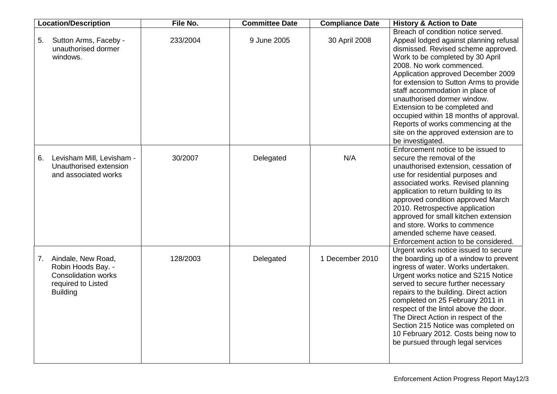|    | <b>Location/Description</b>                                                                                     | File No. | <b>Committee Date</b> | <b>Compliance Date</b> | <b>History &amp; Action to Date</b>                                                                                                                                                                                                                                                                                                                                                                                                                                                                                  |
|----|-----------------------------------------------------------------------------------------------------------------|----------|-----------------------|------------------------|----------------------------------------------------------------------------------------------------------------------------------------------------------------------------------------------------------------------------------------------------------------------------------------------------------------------------------------------------------------------------------------------------------------------------------------------------------------------------------------------------------------------|
| 5. | Sutton Arms, Faceby -<br>unauthorised dormer<br>windows.                                                        | 233/2004 | 9 June 2005           | 30 April 2008          | Breach of condition notice served.<br>Appeal lodged against planning refusal<br>dismissed. Revised scheme approved.<br>Work to be completed by 30 April<br>2008. No work commenced.<br>Application approved December 2009<br>for extension to Sutton Arms to provide<br>staff accommodation in place of<br>unauthorised dormer window.<br>Extension to be completed and<br>occupied within 18 months of approval.<br>Reports of works commencing at the<br>site on the approved extension are to<br>be investigated. |
| 6. | Levisham Mill, Levisham -<br>Unauthorised extension<br>and associated works                                     | 30/2007  | Delegated             | N/A                    | Enforcement notice to be issued to<br>secure the removal of the<br>unauthorised extension, cessation of<br>use for residential purposes and<br>associated works. Revised planning<br>application to return building to its<br>approved condition approved March<br>2010. Retrospective application<br>approved for small kitchen extension<br>and store. Works to commence<br>amended scheme have ceased.<br>Enforcement action to be considered.                                                                    |
| 7. | Aindale, New Road,<br>Robin Hoods Bay. -<br><b>Consolidation works</b><br>required to Listed<br><b>Building</b> | 128/2003 | Delegated             | 1 December 2010        | Urgent works notice issued to secure<br>the boarding up of a window to prevent<br>ingress of water. Works undertaken.<br>Urgent works notice and S215 Notice<br>served to secure further necessary<br>repairs to the building. Direct action<br>completed on 25 February 2011 in<br>respect of the lintol above the door.<br>The Direct Action in respect of the<br>Section 215 Notice was completed on<br>10 February 2012. Costs being now to<br>be pursued through legal services                                 |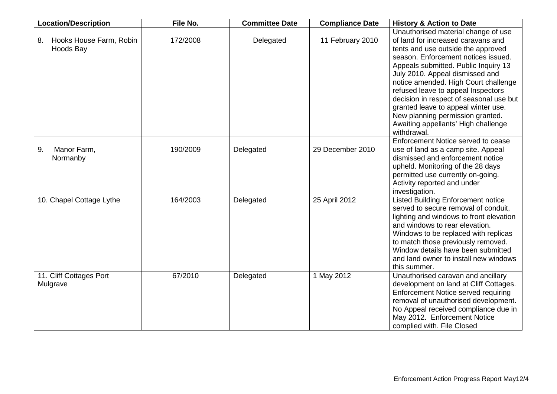| <b>Location/Description</b>                | File No. | <b>Committee Date</b> | <b>Compliance Date</b> | <b>History &amp; Action to Date</b>                                                                                                                                                                                                                                                                                                                                                                                                                                                         |
|--------------------------------------------|----------|-----------------------|------------------------|---------------------------------------------------------------------------------------------------------------------------------------------------------------------------------------------------------------------------------------------------------------------------------------------------------------------------------------------------------------------------------------------------------------------------------------------------------------------------------------------|
| Hooks House Farm, Robin<br>8.<br>Hoods Bay | 172/2008 | Delegated             | 11 February 2010       | Unauthorised material change of use<br>of land for increased caravans and<br>tents and use outside the approved<br>season. Enforcement notices issued.<br>Appeals submitted. Public Inquiry 13<br>July 2010. Appeal dismissed and<br>notice amended. High Court challenge<br>refused leave to appeal Inspectors<br>decision in respect of seasonal use but<br>granted leave to appeal winter use.<br>New planning permission granted.<br>Awaiting appellants' High challenge<br>withdrawal. |
| Manor Farm,<br>9.<br>Normanby              | 190/2009 | Delegated             | 29 December 2010       | Enforcement Notice served to cease<br>use of land as a camp site. Appeal<br>dismissed and enforcement notice<br>upheld. Monitoring of the 28 days<br>permitted use currently on-going.<br>Activity reported and under<br>investigation.                                                                                                                                                                                                                                                     |
| 10. Chapel Cottage Lythe                   | 164/2003 | Delegated             | 25 April 2012          | <b>Listed Building Enforcement notice</b><br>served to secure removal of conduit,<br>lighting and windows to front elevation<br>and windows to rear elevation.<br>Windows to be replaced with replicas<br>to match those previously removed.<br>Window details have been submitted<br>and land owner to install new windows<br>this summer.                                                                                                                                                 |
| 11. Cliff Cottages Port<br>Mulgrave        | 67/2010  | Delegated             | 1 May 2012             | Unauthorised caravan and ancillary<br>development on land at Cliff Cottages.<br>Enforcement Notice served requiring<br>removal of unauthorised development.<br>No Appeal received compliance due in<br>May 2012. Enforcement Notice<br>complied with. File Closed                                                                                                                                                                                                                           |